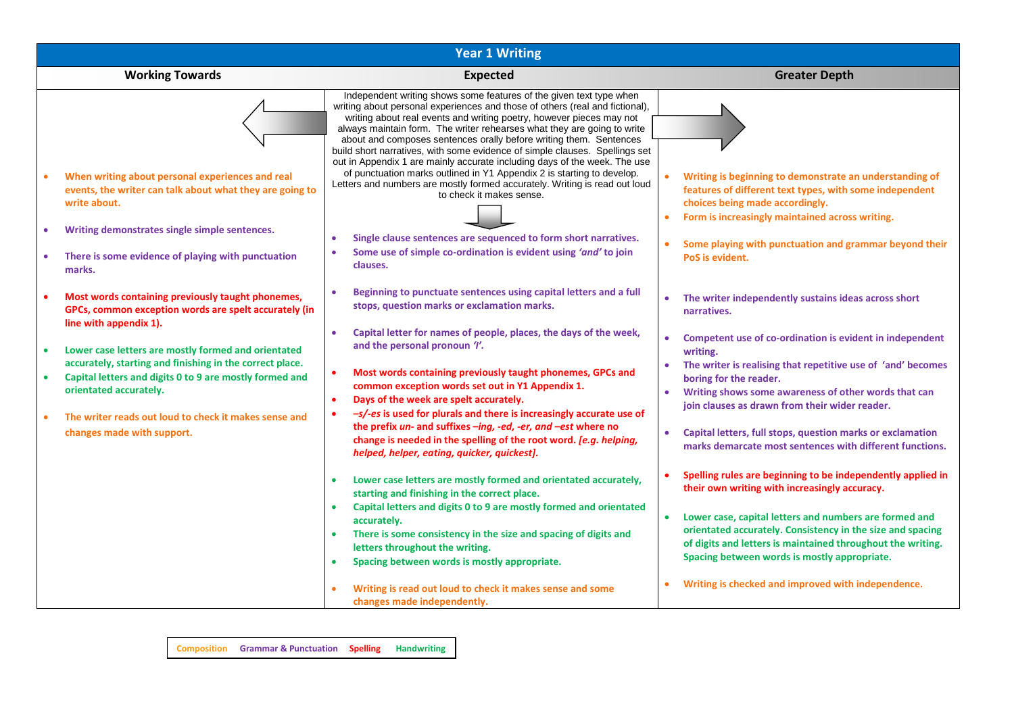| <b>Year 1 Writing</b>                                                                                                                |                                                                                                                                                                                                                                                                                                                                                                              |                                                                                                                                                                                                                                                  |  |  |  |  |  |  |  |
|--------------------------------------------------------------------------------------------------------------------------------------|------------------------------------------------------------------------------------------------------------------------------------------------------------------------------------------------------------------------------------------------------------------------------------------------------------------------------------------------------------------------------|--------------------------------------------------------------------------------------------------------------------------------------------------------------------------------------------------------------------------------------------------|--|--|--|--|--|--|--|
| <b>Working Towards</b>                                                                                                               | <b>Expected</b>                                                                                                                                                                                                                                                                                                                                                              | <b>Greater Depth</b>                                                                                                                                                                                                                             |  |  |  |  |  |  |  |
|                                                                                                                                      | Independent writing shows some features of the given text type when<br>writing about personal experiences and those of others (real and fictional),<br>writing about real events and writing poetry, however pieces may not<br>always maintain form. The writer rehearses what they are going to write<br>about and composes sentences orally before writing them. Sentences |                                                                                                                                                                                                                                                  |  |  |  |  |  |  |  |
| When writing about personal experiences and real<br>events, the writer can talk about what they are going to<br>write about.         | build short narratives, with some evidence of simple clauses. Spellings set<br>out in Appendix 1 are mainly accurate including days of the week. The use<br>of punctuation marks outlined in Y1 Appendix 2 is starting to develop.<br>Letters and numbers are mostly formed accurately. Writing is read out loud<br>to check it makes sense.                                 | Writing is beginning to demonstrate an understanding of<br>features of different text types, with some independent<br>choices being made accordingly.<br>Form is increasingly maintained across writing.                                         |  |  |  |  |  |  |  |
| Writing demonstrates single simple sentences.<br>There is some evidence of playing with punctuation<br>marks.                        | Single clause sentences are sequenced to form short narratives.<br>Some use of simple co-ordination is evident using 'and' to join<br>clauses.                                                                                                                                                                                                                               | Some playing with punctuation and grammar beyond their<br>PoS is evident.                                                                                                                                                                        |  |  |  |  |  |  |  |
| Most words containing previously taught phonemes,<br>GPCs, common exception words are spelt accurately (in<br>line with appendix 1). | Beginning to punctuate sentences using capital letters and a full<br>stops, question marks or exclamation marks.                                                                                                                                                                                                                                                             | The writer independently sustains ideas across short<br>$\bullet$<br>narratives.                                                                                                                                                                 |  |  |  |  |  |  |  |
| Lower case letters are mostly formed and orientated<br>accurately, starting and finishing in the correct place.                      | Capital letter for names of people, places, the days of the week,<br>$\bullet$<br>and the personal pronoun 'I'.                                                                                                                                                                                                                                                              | Competent use of co-ordination is evident in independent<br>writing.                                                                                                                                                                             |  |  |  |  |  |  |  |
| Capital letters and digits 0 to 9 are mostly formed and<br>orientated accurately.                                                    | Most words containing previously taught phonemes, GPCs and<br>$\bullet$<br>common exception words set out in Y1 Appendix 1.<br>Days of the week are spelt accurately.<br>$\bullet$                                                                                                                                                                                           | The writer is realising that repetitive use of 'and' becomes<br>boring for the reader.<br>Writing shows some awareness of other words that can<br>join clauses as drawn from their wider reader.                                                 |  |  |  |  |  |  |  |
| The writer reads out loud to check it makes sense and<br>changes made with support.                                                  | -s/-es is used for plurals and there is increasingly accurate use of<br>$\bullet$<br>the prefix un- and suffixes -ing, -ed, -er, and -est where no<br>change is needed in the spelling of the root word. [e.g. helping,<br>helped, helper, eating, quicker, quickest].                                                                                                       | Capital letters, full stops, question marks or exclamation<br>marks demarcate most sentences with different functions.                                                                                                                           |  |  |  |  |  |  |  |
|                                                                                                                                      | Lower case letters are mostly formed and orientated accurately,<br>$\bullet$<br>starting and finishing in the correct place.                                                                                                                                                                                                                                                 | Spelling rules are beginning to be independently applied in<br>their own writing with increasingly accuracy.                                                                                                                                     |  |  |  |  |  |  |  |
|                                                                                                                                      | Capital letters and digits 0 to 9 are mostly formed and orientated<br>$\bullet$<br>accurately.<br>There is some consistency in the size and spacing of digits and<br>$\bullet$<br>letters throughout the writing.<br>Spacing between words is mostly appropriate.<br>$\bullet$                                                                                               | Lower case, capital letters and numbers are formed and<br>$\bullet$<br>orientated accurately. Consistency in the size and spacing<br>of digits and letters is maintained throughout the writing.<br>Spacing between words is mostly appropriate. |  |  |  |  |  |  |  |
|                                                                                                                                      | Writing is read out loud to check it makes sense and some<br>changes made independently.                                                                                                                                                                                                                                                                                     | Writing is checked and improved with independence.                                                                                                                                                                                               |  |  |  |  |  |  |  |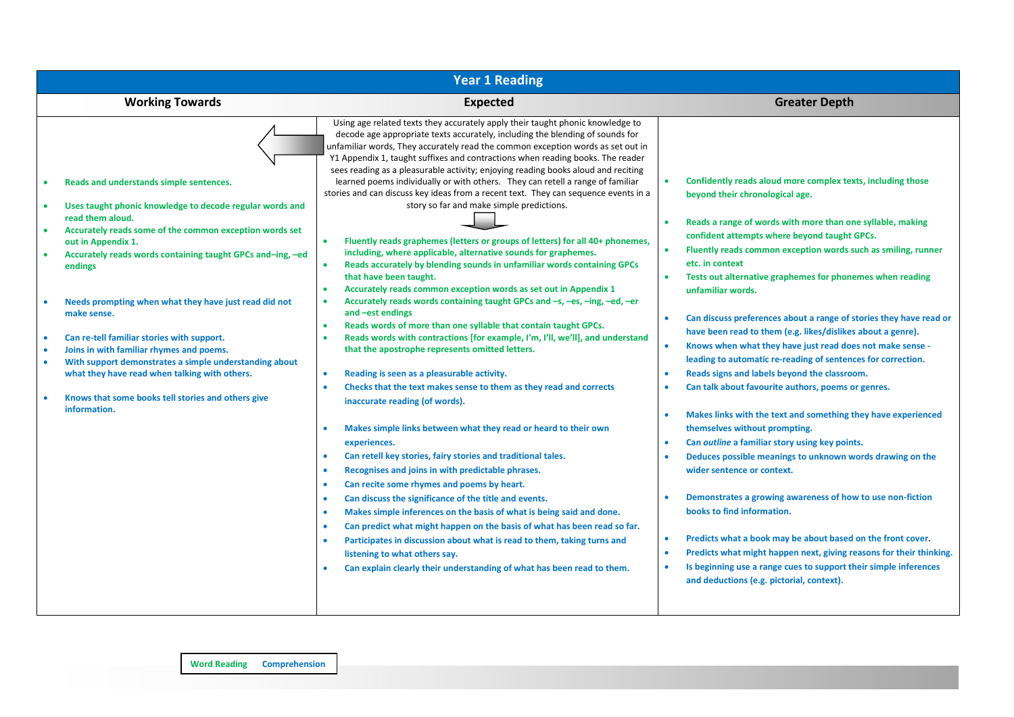| <b>Year 1 Reading</b>                                                                                                                                                                                                                                                                                                                                                                                                                                                                                                                                                                                                                     |                                                                                                                                                                                                                                                                                                                                                                                                                                                                                                                                                                                                                                                                                                                                                                                                                                                                                                                                                                                                                                                                                                                                                                                                                                                                                                                                                                                                                                                                                                                                                                                                                                                                                                                                                                                                                                                                                                                                                                                                                                                                                                                                                                                                                                   |                                                                                                                                                                                                                                                                                                                                                                                                                                                                                                                                                                                                                                                                                                                                                                                                                                                                                                                                                                                                                                                                                                                                                                                                                                                                                                                                                                                                                  |  |  |  |  |  |  |  |
|-------------------------------------------------------------------------------------------------------------------------------------------------------------------------------------------------------------------------------------------------------------------------------------------------------------------------------------------------------------------------------------------------------------------------------------------------------------------------------------------------------------------------------------------------------------------------------------------------------------------------------------------|-----------------------------------------------------------------------------------------------------------------------------------------------------------------------------------------------------------------------------------------------------------------------------------------------------------------------------------------------------------------------------------------------------------------------------------------------------------------------------------------------------------------------------------------------------------------------------------------------------------------------------------------------------------------------------------------------------------------------------------------------------------------------------------------------------------------------------------------------------------------------------------------------------------------------------------------------------------------------------------------------------------------------------------------------------------------------------------------------------------------------------------------------------------------------------------------------------------------------------------------------------------------------------------------------------------------------------------------------------------------------------------------------------------------------------------------------------------------------------------------------------------------------------------------------------------------------------------------------------------------------------------------------------------------------------------------------------------------------------------------------------------------------------------------------------------------------------------------------------------------------------------------------------------------------------------------------------------------------------------------------------------------------------------------------------------------------------------------------------------------------------------------------------------------------------------------------------------------------------------|------------------------------------------------------------------------------------------------------------------------------------------------------------------------------------------------------------------------------------------------------------------------------------------------------------------------------------------------------------------------------------------------------------------------------------------------------------------------------------------------------------------------------------------------------------------------------------------------------------------------------------------------------------------------------------------------------------------------------------------------------------------------------------------------------------------------------------------------------------------------------------------------------------------------------------------------------------------------------------------------------------------------------------------------------------------------------------------------------------------------------------------------------------------------------------------------------------------------------------------------------------------------------------------------------------------------------------------------------------------------------------------------------------------|--|--|--|--|--|--|--|
| <b>Working Towards</b>                                                                                                                                                                                                                                                                                                                                                                                                                                                                                                                                                                                                                    | <b>Expected</b>                                                                                                                                                                                                                                                                                                                                                                                                                                                                                                                                                                                                                                                                                                                                                                                                                                                                                                                                                                                                                                                                                                                                                                                                                                                                                                                                                                                                                                                                                                                                                                                                                                                                                                                                                                                                                                                                                                                                                                                                                                                                                                                                                                                                                   | <b>Greater Depth</b>                                                                                                                                                                                                                                                                                                                                                                                                                                                                                                                                                                                                                                                                                                                                                                                                                                                                                                                                                                                                                                                                                                                                                                                                                                                                                                                                                                                             |  |  |  |  |  |  |  |
| Reads and understands simple sentences.<br>Uses taught phonic knowledge to decode regular words and<br>read them aloud.<br>Accurately reads some of the common exception words set<br>out in Appendix 1.<br>Accurately reads words containing taught GPCs and-ing, -ed<br>endings<br>Needs prompting when what they have just read did not<br>make sense.<br>Can re-tell familiar stories with support.<br>Joins in with familiar rhymes and poems.<br>With support demonstrates a simple understanding about<br>٠<br>what they have read when talking with others.<br>Knows that some books tell stories and others give<br>information. | Using age related texts they accurately apply their taught phonic knowledge to<br>decode age appropriate texts accurately, including the blending of sounds for<br>unfamiliar words, They accurately read the common exception words as set out in<br>Y1 Appendix 1, taught suffixes and contractions when reading books. The reader<br>sees reading as a pleasurable activity; enjoying reading books aloud and reciting<br>learned poems individually or with others. They can retell a range of familiar<br>stories and can discuss key ideas from a recent text. They can sequence events in a<br>story so far and make simple predictions.<br>Fluently reads graphemes (letters or groups of letters) for all 40+ phonemes,<br>including, where applicable, alternative sounds for graphemes.<br>Reads accurately by blending sounds in unfamiliar words containing GPCs<br>that have been taught.<br>Accurately reads common exception words as set out in Appendix 1<br>$\bullet$<br>Accurately reads words containing taught GPCs and -s, -es, -ing, -ed, -er<br>$\bullet$<br>and -est endings<br>Reads words of more than one syllable that contain taught GPCs.<br>$\bullet$<br>Reads words with contractions [for example, I'm, I'll, we'll], and understand<br>$\bullet$<br>that the apostrophe represents omitted letters.<br>Reading is seen as a pleasurable activity.<br>$\bullet$<br>Checks that the text makes sense to them as they read and corrects<br>inaccurate reading (of words).<br>Makes simple links between what they read or heard to their own<br>$\bullet$<br>experiences.<br>Can retell key stories, fairy stories and traditional tales.<br>٠<br>Recognises and joins in with predictable phrases.<br>٠<br>Can recite some rhymes and poems by heart.<br>$\bullet$<br>Can discuss the significance of the title and events.<br>$\bullet$<br>Makes simple inferences on the basis of what is being said and done.<br>Can predict what might happen on the basis of what has been read so far.<br>$\bullet$<br>Participates in discussion about what is read to them, taking turns and<br>listening to what others say.<br>Can explain clearly their understanding of what has been read to them. | Confidently reads aloud more complex texts, including those<br>beyond their chronological age.<br>Reads a range of words with more than one syllable, making<br>confident attempts where beyond taught GPCs.<br>Fluently reads common exception words such as smiling, runner<br>$\bullet$<br>etc. in context<br>Tests out alternative graphemes for phonemes when reading<br>unfamiliar words.<br>Can discuss preferences about a range of stories they have read or<br>have been read to them (e.g. likes/dislikes about a genre).<br>Knows when what they have just read does not make sense -<br>$\bullet$<br>leading to automatic re-reading of sentences for correction.<br>Reads signs and labels beyond the classroom.<br>Can talk about favourite authors, poems or genres.<br>Makes links with the text and something they have experienced<br>themselves without prompting.<br>Can outline a familiar story using key points.<br>Deduces possible meanings to unknown words drawing on the<br>wider sentence or context.<br>Demonstrates a growing awareness of how to use non-fiction<br>books to find information.<br>Predicts what a book may be about based on the front cover.<br>$\bullet$<br>Predicts what might happen next, giving reasons for their thinking.<br>Is beginning use a range cues to support their simple inferences<br>$\bullet$<br>and deductions (e.g. pictorial, context). |  |  |  |  |  |  |  |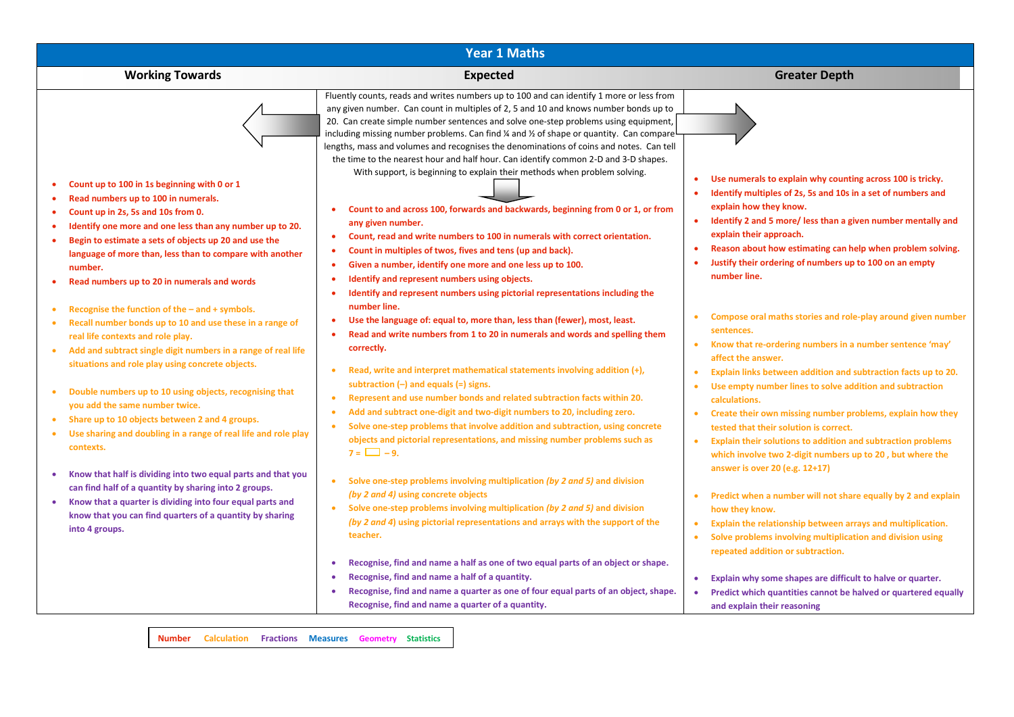| <b>Year 1 Maths</b>                                                                                                                                                                                                                                                                                                                                                                                                                                                                                                                                                                                                                                                                                                                                                                                                                                                                                                                                                                                                                                                                                                                                                                                                                               |                                                                                                                                                                                                                                                                                                                                                                                                                                                                                                                                                                                                                                                                                                                                                                                                                                                                                                                                                                                                                                                                                                                                                                                                                                                                                                                                                                                                                                                                                                                                                                                                                                                                                                                                                                                                                                                                                                                                                                                                                                                                                                                                                                                                                                                                                                                                                                                                                                                                                      |                                                                                                                                                                                                                                                                                                                                                                                                                                                                                                                                                                                                                                                                                                                                                                                                                                                                                                                                                                                                                                                                                                                                                                                                                                                                                                                                                                                                                                                                                                                                                                |  |  |  |  |  |  |  |
|---------------------------------------------------------------------------------------------------------------------------------------------------------------------------------------------------------------------------------------------------------------------------------------------------------------------------------------------------------------------------------------------------------------------------------------------------------------------------------------------------------------------------------------------------------------------------------------------------------------------------------------------------------------------------------------------------------------------------------------------------------------------------------------------------------------------------------------------------------------------------------------------------------------------------------------------------------------------------------------------------------------------------------------------------------------------------------------------------------------------------------------------------------------------------------------------------------------------------------------------------|--------------------------------------------------------------------------------------------------------------------------------------------------------------------------------------------------------------------------------------------------------------------------------------------------------------------------------------------------------------------------------------------------------------------------------------------------------------------------------------------------------------------------------------------------------------------------------------------------------------------------------------------------------------------------------------------------------------------------------------------------------------------------------------------------------------------------------------------------------------------------------------------------------------------------------------------------------------------------------------------------------------------------------------------------------------------------------------------------------------------------------------------------------------------------------------------------------------------------------------------------------------------------------------------------------------------------------------------------------------------------------------------------------------------------------------------------------------------------------------------------------------------------------------------------------------------------------------------------------------------------------------------------------------------------------------------------------------------------------------------------------------------------------------------------------------------------------------------------------------------------------------------------------------------------------------------------------------------------------------------------------------------------------------------------------------------------------------------------------------------------------------------------------------------------------------------------------------------------------------------------------------------------------------------------------------------------------------------------------------------------------------------------------------------------------------------------------------------------------------|----------------------------------------------------------------------------------------------------------------------------------------------------------------------------------------------------------------------------------------------------------------------------------------------------------------------------------------------------------------------------------------------------------------------------------------------------------------------------------------------------------------------------------------------------------------------------------------------------------------------------------------------------------------------------------------------------------------------------------------------------------------------------------------------------------------------------------------------------------------------------------------------------------------------------------------------------------------------------------------------------------------------------------------------------------------------------------------------------------------------------------------------------------------------------------------------------------------------------------------------------------------------------------------------------------------------------------------------------------------------------------------------------------------------------------------------------------------------------------------------------------------------------------------------------------------|--|--|--|--|--|--|--|
| <b>Working Towards</b>                                                                                                                                                                                                                                                                                                                                                                                                                                                                                                                                                                                                                                                                                                                                                                                                                                                                                                                                                                                                                                                                                                                                                                                                                            | <b>Expected</b>                                                                                                                                                                                                                                                                                                                                                                                                                                                                                                                                                                                                                                                                                                                                                                                                                                                                                                                                                                                                                                                                                                                                                                                                                                                                                                                                                                                                                                                                                                                                                                                                                                                                                                                                                                                                                                                                                                                                                                                                                                                                                                                                                                                                                                                                                                                                                                                                                                                                      | <b>Greater Depth</b>                                                                                                                                                                                                                                                                                                                                                                                                                                                                                                                                                                                                                                                                                                                                                                                                                                                                                                                                                                                                                                                                                                                                                                                                                                                                                                                                                                                                                                                                                                                                           |  |  |  |  |  |  |  |
| Count up to 100 in 1s beginning with 0 or 1<br>Read numbers up to 100 in numerals.<br>Count up in 2s, 5s and 10s from 0.<br>$\bullet$<br>Identify one more and one less than any number up to 20.<br>٠<br>Begin to estimate a sets of objects up 20 and use the<br>$\bullet$<br>language of more than, less than to compare with another<br>number.<br>Read numbers up to 20 in numerals and words<br>Recognise the function of the $-$ and $+$ symbols.<br>$\bullet$<br>Recall number bonds up to 10 and use these in a range of<br>$\bullet$<br>real life contexts and role play.<br>Add and subtract single digit numbers in a range of real life<br>situations and role play using concrete objects.<br>Double numbers up to 10 using objects, recognising that<br>you add the same number twice.<br>Share up to 10 objects between 2 and 4 groups.<br>$\bullet$<br>Use sharing and doubling in a range of real life and role play<br>$\bullet$<br>contexts.<br>Know that half is dividing into two equal parts and that you<br>can find half of a quantity by sharing into 2 groups.<br>Know that a quarter is dividing into four equal parts and<br>$\bullet$<br>know that you can find quarters of a quantity by sharing<br>into 4 groups. | Fluently counts, reads and writes numbers up to 100 and can identify 1 more or less from<br>any given number. Can count in multiples of 2, 5 and 10 and knows number bonds up to<br>20. Can create simple number sentences and solve one-step problems using equipment,<br>including missing number problems. Can find % and % of shape or quantity. Can compare<br>lengths, mass and volumes and recognises the denominations of coins and notes. Can tell<br>the time to the nearest hour and half hour. Can identify common 2-D and 3-D shapes.<br>With support, is beginning to explain their methods when problem solving.<br>Count to and across 100, forwards and backwards, beginning from 0 or 1, or from<br>٠<br>any given number.<br>Count, read and write numbers to 100 in numerals with correct orientation.<br>$\bullet$<br>Count in multiples of twos, fives and tens (up and back).<br>Given a number, identify one more and one less up to 100.<br>٠<br>Identify and represent numbers using objects.<br>٠<br>Identify and represent numbers using pictorial representations including the<br>$\bullet$<br>number line.<br>Use the language of: equal to, more than, less than (fewer), most, least.<br>$\bullet$<br>Read and write numbers from 1 to 20 in numerals and words and spelling them<br>correctly.<br>Read, write and interpret mathematical statements involving addition (+),<br>$\bullet$<br>subtraction $(-)$ and equals $(=)$ signs.<br>Represent and use number bonds and related subtraction facts within 20.<br>$\bullet$<br>Add and subtract one-digit and two-digit numbers to 20, including zero.<br>$\bullet$<br>Solve one-step problems that involve addition and subtraction, using concrete<br>$\bullet$<br>objects and pictorial representations, and missing number problems such as<br>$7 = \Box -9.$<br>Solve one-step problems involving multiplication (by 2 and 5) and division<br>$\bullet$<br>(by 2 and 4) using concrete objects<br>Solve one-step problems involving multiplication (by 2 and 5) and division<br>$\bullet$<br>(by 2 and 4) using pictorial representations and arrays with the support of the<br>teacher.<br>Recognise, find and name a half as one of two equal parts of an object or shape.<br>Recognise, find and name a half of a quantity.<br>$\bullet$<br>Recognise, find and name a quarter as one of four equal parts of an object, shape.<br>٠<br>Recognise, find and name a quarter of a quantity. | Use numerals to explain why counting across 100 is tricky.<br>$\bullet$<br>Identify multiples of 2s, 5s and 10s in a set of numbers and<br>explain how they know.<br>Identify 2 and 5 more/ less than a given number mentally and<br>$\bullet$<br>explain their approach.<br>Reason about how estimating can help when problem solving.<br>$\bullet$<br>Justify their ordering of numbers up to 100 on an empty<br>number line.<br>Compose oral maths stories and role-play around given number<br>sentences.<br>Know that re-ordering numbers in a number sentence 'may'<br>$\bullet$<br>affect the answer.<br>Explain links between addition and subtraction facts up to 20.<br>$\bullet$<br>Use empty number lines to solve addition and subtraction<br>$\bullet$<br>calculations.<br>Create their own missing number problems, explain how they<br>$\bullet$<br>tested that their solution is correct.<br>Explain their solutions to addition and subtraction problems<br>$\bullet$<br>which involve two 2-digit numbers up to 20, but where the<br>answer is over 20 (e.g. 12+17)<br>Predict when a number will not share equally by 2 and explain<br>how they know.<br>Explain the relationship between arrays and multiplication.<br>$\bullet$<br>Solve problems involving multiplication and division using<br>$\bullet$<br>repeated addition or subtraction.<br>Explain why some shapes are difficult to halve or quarter.<br>$\bullet$<br>Predict which quantities cannot be halved or quartered equally<br>$\bullet$<br>and explain their reasoning |  |  |  |  |  |  |  |
|                                                                                                                                                                                                                                                                                                                                                                                                                                                                                                                                                                                                                                                                                                                                                                                                                                                                                                                                                                                                                                                                                                                                                                                                                                                   | Number Calculation Fractions Measures Geometry Statistics                                                                                                                                                                                                                                                                                                                                                                                                                                                                                                                                                                                                                                                                                                                                                                                                                                                                                                                                                                                                                                                                                                                                                                                                                                                                                                                                                                                                                                                                                                                                                                                                                                                                                                                                                                                                                                                                                                                                                                                                                                                                                                                                                                                                                                                                                                                                                                                                                            |                                                                                                                                                                                                                                                                                                                                                                                                                                                                                                                                                                                                                                                                                                                                                                                                                                                                                                                                                                                                                                                                                                                                                                                                                                                                                                                                                                                                                                                                                                                                                                |  |  |  |  |  |  |  |